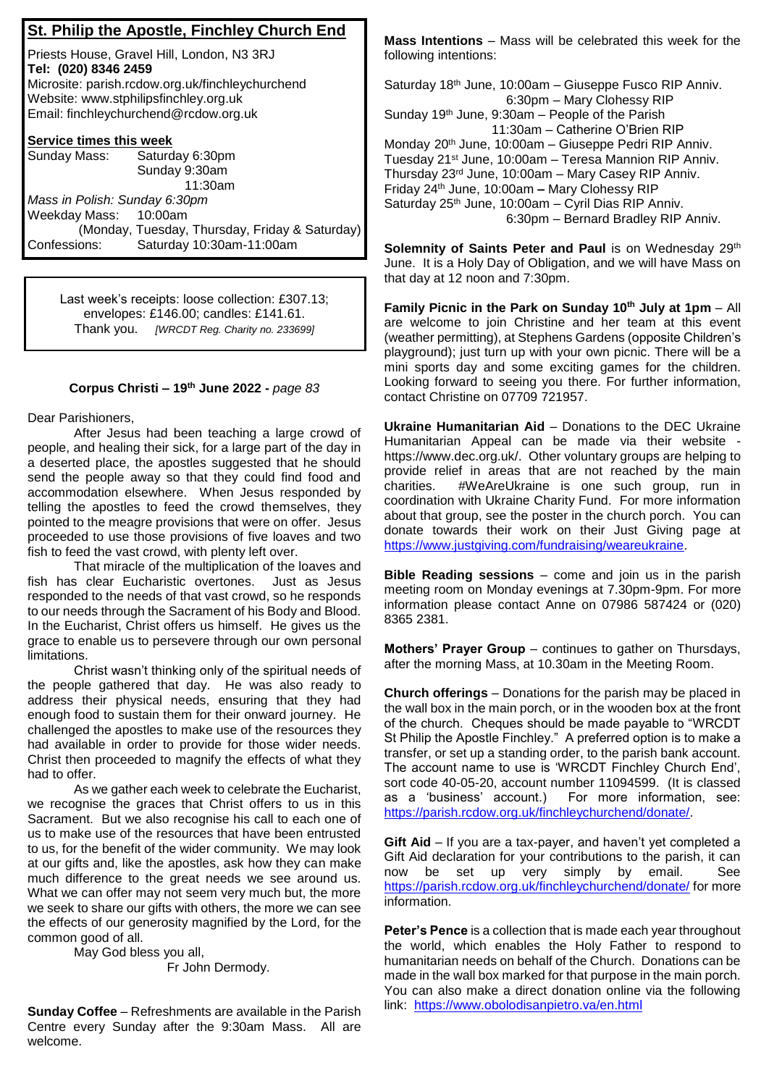## **St. Philip the Apostle, Finchley Church End**

Priests House, Gravel Hill, London, N3 3RJ **Tel: (020) 8346 2459** Microsite: parish.rcdow.org.uk/finchleychurchend Website: www.stphilipsfinchley.org.uk Email: finchleychurchend@rcdow.org.uk

## **Service times this week**

| Sunday Mass:                  | Saturday 6:30pm                                |
|-------------------------------|------------------------------------------------|
|                               | Sunday 9:30am                                  |
|                               | 11:30am                                        |
| Mass in Polish: Sunday 6:30pm |                                                |
| Weekday Mass: 10:00am         |                                                |
|                               | (Monday, Tuesday, Thursday, Friday & Saturday) |
| Confessions:                  | Saturday 10:30am-11:00am                       |

Last week's receipts: loose collection: £307.13; envelopes: £146.00; candles: £141.61. Thank you. *[WRCDT Reg. Charity no. 233699]*

## **Corpus Christi – 19 th June 2022 -** *page 83*

Dear Parishioners,

After Jesus had been teaching a large crowd of people, and healing their sick, for a large part of the day in a deserted place, the apostles suggested that he should send the people away so that they could find food and accommodation elsewhere. When Jesus responded by telling the apostles to feed the crowd themselves, they pointed to the meagre provisions that were on offer. Jesus proceeded to use those provisions of five loaves and two fish to feed the vast crowd, with plenty left over.

That miracle of the multiplication of the loaves and fish has clear Eucharistic overtones. Just as Jesus responded to the needs of that vast crowd, so he responds to our needs through the Sacrament of his Body and Blood. In the Eucharist, Christ offers us himself. He gives us the grace to enable us to persevere through our own personal limitations.

Christ wasn't thinking only of the spiritual needs of the people gathered that day. He was also ready to address their physical needs, ensuring that they had enough food to sustain them for their onward journey. He challenged the apostles to make use of the resources they had available in order to provide for those wider needs. Christ then proceeded to magnify the effects of what they had to offer.

As we gather each week to celebrate the Eucharist, we recognise the graces that Christ offers to us in this Sacrament. But we also recognise his call to each one of us to make use of the resources that have been entrusted to us, for the benefit of the wider community. We may look at our gifts and, like the apostles, ask how they can make much difference to the great needs we see around us. What we can offer may not seem very much but, the more we seek to share our gifts with others, the more we can see the effects of our generosity magnified by the Lord, for the common good of all.

May God bless you all, Fr John Dermody.

**Sunday Coffee** – Refreshments are available in the Parish Centre every Sunday after the 9:30am Mass. All are welcome.

**Mass Intentions** – Mass will be celebrated this week for the following intentions:

Saturday 18th June, 10:00am – Giuseppe Fusco RIP Anniv. 6:30pm – Mary Clohessy RIP Sunday 19<sup>th</sup> June, 9:30am - People of the Parish 11:30am – Catherine O'Brien RIP Monday 20<sup>th</sup> June, 10:00am - Giuseppe Pedri RIP Anniv. Tuesday 21st June, 10:00am – Teresa Mannion RIP Anniv. Thursday 23rd June, 10:00am – Mary Casey RIP Anniv. Friday 24th June, 10:00am **–** Mary Clohessy RIP Saturday 25th June, 10:00am – Cyril Dias RIP Anniv. 6:30pm – Bernard Bradley RIP Anniv.

**Solemnity of Saints Peter and Paul** is on Wednesday 29<sup>th</sup> June. It is a Holy Day of Obligation, and we will have Mass on that day at 12 noon and 7:30pm.

**Family Picnic in the Park on Sunday 10th July at 1pm** – All are welcome to join Christine and her team at this event (weather permitting), at Stephens Gardens (opposite Children's playground); just turn up with your own picnic. There will be a mini sports day and some exciting games for the children. Looking forward to seeing you there. For further information, contact Christine on 07709 721957.

**Ukraine Humanitarian Aid** – Donations to the DEC Ukraine Humanitarian Appeal can be made via their website https://www.dec.org.uk/. Other voluntary groups are helping to provide relief in areas that are not reached by the main charities. #WeAreUkraine is one such group, run in coordination with Ukraine Charity Fund. For more information about that group, see the poster in the church porch. You can donate towards their work on their Just Giving page at https://www.justgiving.com/fundraising/weareukraine.

**Bible Reading sessions** – come and join us in the parish meeting room on Monday evenings at 7.30pm-9pm. For more information please contact Anne on 07986 587424 or (020) 8365 2381.

**Mothers' Prayer Group** – continues to gather on Thursdays, after the morning Mass, at 10.30am in the Meeting Room.

**Church offerings** – Donations for the parish may be placed in the wall box in the main porch, or in the wooden box at the front of the church. Cheques should be made payable to "WRCDT St Philip the Apostle Finchley." A preferred option is to make a transfer, or set up a standing order, to the parish bank account. The account name to use is 'WRCDT Finchley Church End', sort code 40-05-20, account number 11094599. (It is classed as a 'business' account.) For more information, see: https://parish.rcdow.org.uk/finchleychurchend/donate/.

**Gift Aid** – If you are a tax-payer, and haven't yet completed a Gift Aid declaration for your contributions to the parish, it can now be set up very simply by email. See https://parish.rcdow.org.uk/finchleychurchend/donate/ for more information.

**Peter's Pence** is a collection that is made each year throughout the world, which enables the Holy Father to respond to humanitarian needs on behalf of the Church. Donations can be made in the wall box marked for that purpose in the main porch. You can also make a direct donation online via the following link: https://www.obolodisanpietro.va/en.html